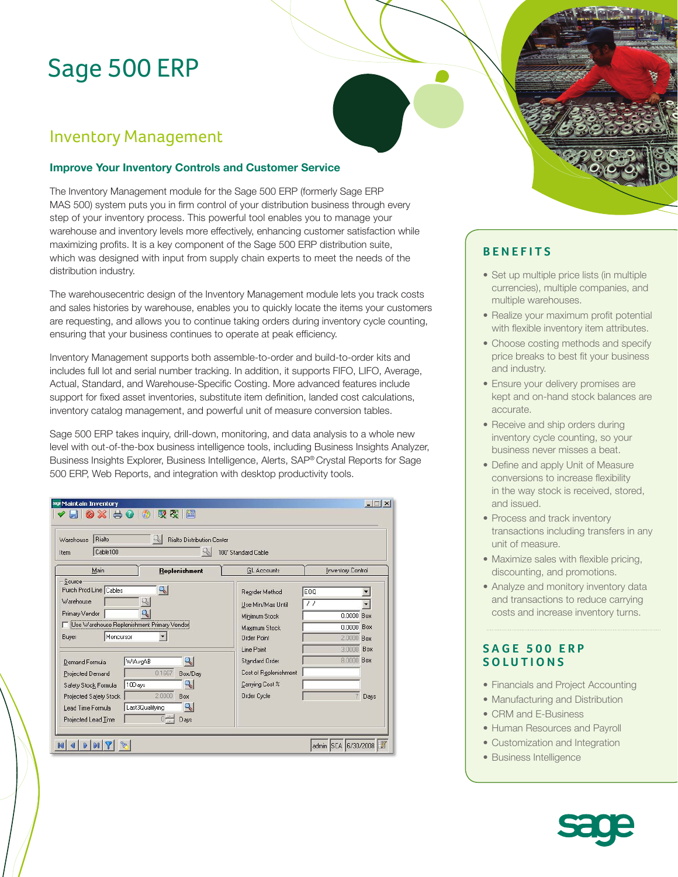# Sage 500 ERP

# Inventory Management

### **Improve Your Inventory Controls and Customer Service**

The Inventory Management module for the Sage 500 ERP (formerly Sage ERP MAS 500) system puts you in firm control of your distribution business through every step of your inventory process. This powerful tool enables you to manage your warehouse and inventory levels more effectively, enhancing customer satisfaction while maximizing profits. It is a key component of the Sage 500 ERP distribution suite, which was designed with input from supply chain experts to meet the needs of the distribution industry.

The warehousecentric design of the Inventory Management module lets you track costs and sales histories by warehouse, enables you to quickly locate the items your customers are requesting, and allows you to continue taking orders during inventory cycle counting, ensuring that your business continues to operate at peak efficiency.

Inventory Management supports both assemble-to-order and build-to-order kits and includes full lot and serial number tracking. In addition, it supports FIFO, LIFO, Average, Actual, Standard, and Warehouse-Specific Costing. More advanced features include support for fixed asset inventories, substitute item definition, landed cost calculations, inventory catalog management, and powerful unit of measure conversion tables.

Sage 500 ERP takes inquiry, drill-down, monitoring, and data analysis to a whole new level with out-of-the-box business intelligence tools, including Business Insights Analyzer, Business Insights Explorer, Business Intelligence, Alerts, SAP® Crystal Reports for Sage 500 ERP, Web Reports, and integration with desktop productivity tools.

| Rialto<br>$\mathbb{R}$<br><b>Rialto Distribution Center</b><br>Warehouse<br>Cable100<br>ų,<br>100' Standard Cable<br>Item                                                                                                                                                                                                                                                                                   |                                                                                                                                                                                               |                                                                                                            |
|-------------------------------------------------------------------------------------------------------------------------------------------------------------------------------------------------------------------------------------------------------------------------------------------------------------------------------------------------------------------------------------------------------------|-----------------------------------------------------------------------------------------------------------------------------------------------------------------------------------------------|------------------------------------------------------------------------------------------------------------|
| Main<br>Replenishment                                                                                                                                                                                                                                                                                                                                                                                       | <b>GL</b> Accounts                                                                                                                                                                            | <b>Inventory Control</b>                                                                                   |
| Source<br>Purch Prod Line Cables<br>91<br>9,<br>Warehouse<br>ą,<br>Primary Vendor<br>Use Warehouse Replenishment Primary Vendor<br>Moncursor<br>Buyer<br>ą,<br><b>WtAvgAB</b><br>Demand Formula<br>0.1667<br>Box/Day<br>Projected Demand<br>ą,<br>10Days<br>Safety Stock Formula<br>2,0000<br>Box<br>Projected Safety Stock<br>Last3Qualifying<br>Lead Time Formula<br>$0 -$<br>Projected Lead Time<br>Days | Reorder Method<br>Use Min/Max Until<br>Minimum Stock<br>Maximum Stock<br>Order Point<br>Line Point<br><b>Standard Order</b><br>Cost of Replenishment<br>Carrying Cost %<br><b>Order Cycle</b> | EOQ<br>$\overline{\prime}$<br>$0.0000$ Box<br>0.0000 Box<br>2.0000 Box<br>3.0000 Box<br>8.0000 Box<br>Days |

# **BENEFITS**

- Set up multiple price lists (in multiple currencies), multiple companies, and multiple warehouses.
- Realize your maximum profit potential with flexible inventory item attributes.
- Choose costing methods and specify price breaks to best fit your business and industry.
- Ensure your delivery promises are kept and on-hand stock balances are accurate.
- Receive and ship orders during inventory cycle counting, so your business never misses a beat.
- Define and apply Unit of Measure conversions to increase flexibility in the way stock is received, stored, and issued.
- Process and track inventory transactions including transfers in any unit of measure.
- Maximize sales with flexible pricing, discounting, and promotions.
- Analyze and monitory inventory data and transactions to reduce carrying costs and increase inventory turns.

### **SAGE 500 ERP SOLUTIONS**

- Financials and Project Accounting
- Manufacturing and Distribution
- CRM and E-Business
- Human Resources and Payroll
- Customization and Integration
- Business Intelligence